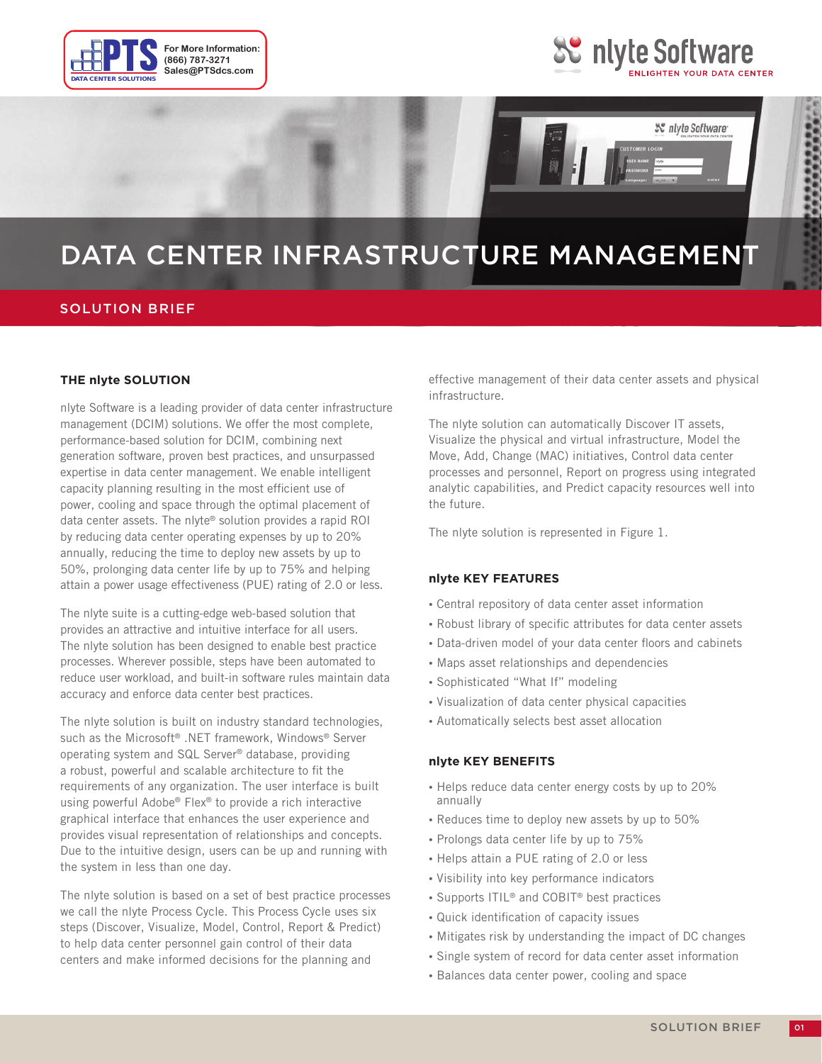



SC nlyte Software<sup>-</sup>

## DATA CENTER INFRASTRUCTURE MANAGEMENT

#### SOLUTION BRIEF

#### **THE nlyte SOLUTION**

nlyte Software is a leading provider of data center infrastructure management (DCIM) solutions. We offer the most complete, performance-based solution for DCIM, combining next generation software, proven best practices, and unsurpassed expertise in data center management. We enable intelligent capacity planning resulting in the most efficient use of power, cooling and space through the optimal placement of data center assets. The nlyte® solution provides a rapid ROI by reducing data center operating expenses by up to 20% annually, reducing the time to deploy new assets by up to 50%, prolonging data center life by up to 75% and helping attain a power usage effectiveness (PUE) rating of 2.0 or less.

The nlyte suite is a cutting-edge web-based solution that provides an attractive and intuitive interface for all users. The nlyte solution has been designed to enable best practice processes. Wherever possible, steps have been automated to reduce user workload, and built-in software rules maintain data accuracy and enforce data center best practices.

The nlyte solution is built on industry standard technologies, such as the Microsoft® .NET framework, Windows® Server operating system and SQL Server® database, providing a robust, powerful and scalable architecture to fit the requirements of any organization. The user interface is built using powerful Adobe® Flex® to provide a rich interactive graphical interface that enhances the user experience and provides visual representation of relationships and concepts. Due to the intuitive design, users can be up and running with the system in less than one day.

The nlyte solution is based on a set of best practice processes we call the nlyte Process Cycle. This Process Cycle uses six steps (Discover, Visualize, Model, Control, Report & Predict) to help data center personnel gain control of their data centers and make informed decisions for the planning and

effective management of their data center assets and physical infrastructure.

The nlyte solution can automatically Discover IT assets, Visualize the physical and virtual infrastructure, Model the Move, Add, Change (MAC) initiatives, Control data center processes and personnel, Report on progress using integrated analytic capabilities, and Predict capacity resources well into the future.

The nlyte solution is represented in Figure 1.

#### **nlyte KEY FEATURES**

- • Central repository of data center asset information
- Robust library of specific attributes for data center assets
- • Data-driven model of your data center floors and cabinets
- • Maps asset relationships and dependencies
- • Sophisticated "What If" modeling
- • Visualization of data center physical capacities
- • Automatically selects best asset allocation

#### **nlyte KEY BENEFITS**

- • Helps reduce data center energy costs by up to 20% annually
- • Reduces time to deploy new assets by up to 50%
- • Prolongs data center life by up to 75%
- Helps attain a PUE rating of 2.0 or less
- • Visibility into key performance indicators
- Supports ITIL<sup>®</sup> and COBIT<sup>®</sup> best practices
- • Quick identification of capacity issues
- • Mitigates risk by understanding the impact of DC changes
- Single system of record for data center asset information
- • Balances data center power, cooling and space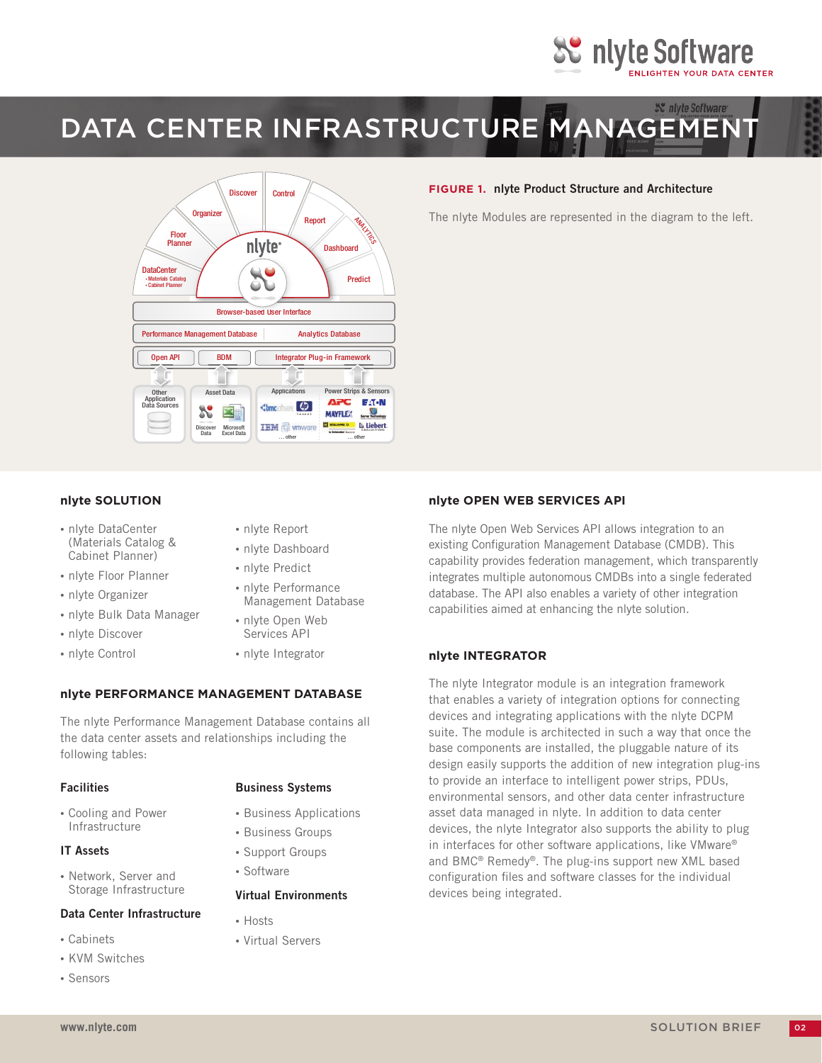



#### **FIGURE 1. nlyte Product Structure and Architecture**

The nlyte Modules are represented in the diagram to the left.

#### **nlyte SOLUTION**

- nivte DataCenter (Materials Catalog & Cabinet Planner)
- • nlyte Floor Planner
- nlyte Organizer
- • nlyte Bulk Data Manager
- • nlyte Discover
- • nlyte Control
- • nlyte Report
- nlyte Dashboard
- • nlyte Predict
- • nlyte Performance Management Database
- • nlyte Open Web Services API
- nlyte Integrator

#### **nlyte PERFORMANCE MANAGEMENT DATABASE**

The nlyte Performance Management Database contains all the data center assets and relationships including the following tables:

#### **Facilities**

- **Business Systems**
- • Cooling and Power **Infrastructure**

#### **IT Assets**

• Network, Server and Storage Infrastructure

#### **Data Center Infrastructure**

- • Cabinets
- • KVM Switches
- • Sensors
- • Business Applications
- Business Groups
- • Support Groups
- • Software

#### **Virtual Environments**

- • Hosts
- • Virtual Servers

#### **nlyte OPEN WEB SERVICES API**

The nlyte Open Web Services API allows integration to an existing Configuration Management Database (CMDB). This capability provides federation management, which transparently integrates multiple autonomous CMDBs into a single federated database. The API also enables a variety of other integration capabilities aimed at enhancing the nlyte solution.

#### **nlyte INTEGRATOR**

The nlyte Integrator module is an integration framework that enables a variety of integration options for connecting devices and integrating applications with the nlyte DCPM suite. The module is architected in such a way that once the base components are installed, the pluggable nature of its design easily supports the addition of new integration plug-ins to provide an interface to intelligent power strips, PDUs, environmental sensors, and other data center infrastructure asset data managed in nlyte. In addition to data center devices, the nlyte Integrator also supports the ability to plug in interfaces for other software applications, like VMware® and BMC® Remedy®. The plug-ins support new XML based configuration files and software classes for the individual devices being integrated.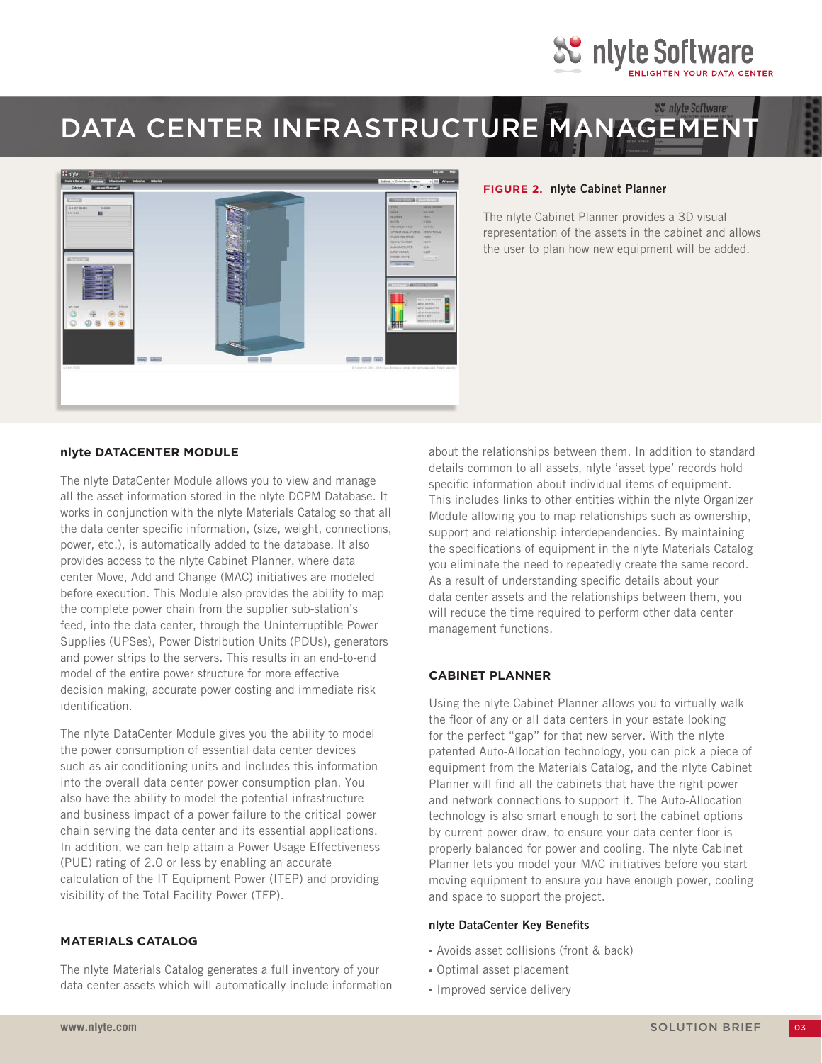



#### **FIGURE 2. nlyte Cabinet Planner**

The nlyte Cabinet Planner provides a 3D visual representation of the assets in the cabinet and allows the user to plan how new equipment will be added.

#### **nlyte DATACENTER MODULE**

The nlyte DataCenter Module allows you to view and manage all the asset information stored in the nlyte DCPM Database. It works in conjunction with the nlyte Materials Catalog so that all the data center specific information, (size, weight, connections, power, etc.), is automatically added to the database. It also provides access to the nlyte Cabinet Planner, where data center Move, Add and Change (MAC) initiatives are modeled before execution. This Module also provides the ability to map the complete power chain from the supplier sub-station's feed, into the data center, through the Uninterruptible Power Supplies (UPSes), Power Distribution Units (PDUs), generators and power strips to the servers. This results in an end-to-end model of the entire power structure for more effective decision making, accurate power costing and immediate risk identification.

The nlyte DataCenter Module gives you the ability to model the power consumption of essential data center devices such as air conditioning units and includes this information into the overall data center power consumption plan. You also have the ability to model the potential infrastructure and business impact of a power failure to the critical power chain serving the data center and its essential applications. In addition, we can help attain a Power Usage Effectiveness (PUE) rating of 2.0 or less by enabling an accurate calculation of the IT Equipment Power (ITEP) and providing visibility of the Total Facility Power (TFP).

#### **MATERIALS CATALOG**

The nlyte Materials Catalog generates a full inventory of your data center assets which will automatically include information

about the relationships between them. In addition to standard details common to all assets, nlyte 'asset type' records hold specific information about individual items of equipment. This includes links to other entities within the nlyte Organizer Module allowing you to map relationships such as ownership, support and relationship interdependencies. By maintaining the specifications of equipment in the nlyte Materials Catalog you eliminate the need to repeatedly create the same record. As a result of understanding specific details about your data center assets and the relationships between them, you will reduce the time required to perform other data center management functions.

#### **CABINET PLANNER**

Using the nlyte Cabinet Planner allows you to virtually walk the floor of any or all data centers in your estate looking for the perfect "gap" for that new server. With the nlyte patented Auto-Allocation technology, you can pick a piece of equipment from the Materials Catalog, and the nlyte Cabinet Planner will find all the cabinets that have the right power and network connections to support it. The Auto-Allocation technology is also smart enough to sort the cabinet options by current power draw, to ensure your data center floor is properly balanced for power and cooling. The nlyte Cabinet Planner lets you model your MAC initiatives before you start moving equipment to ensure you have enough power, cooling and space to support the project.

#### **nlyte DataCenter Key Benefits**

- • Avoids asset collisions (front & back)
- • Optimal asset placement
- • Improved service delivery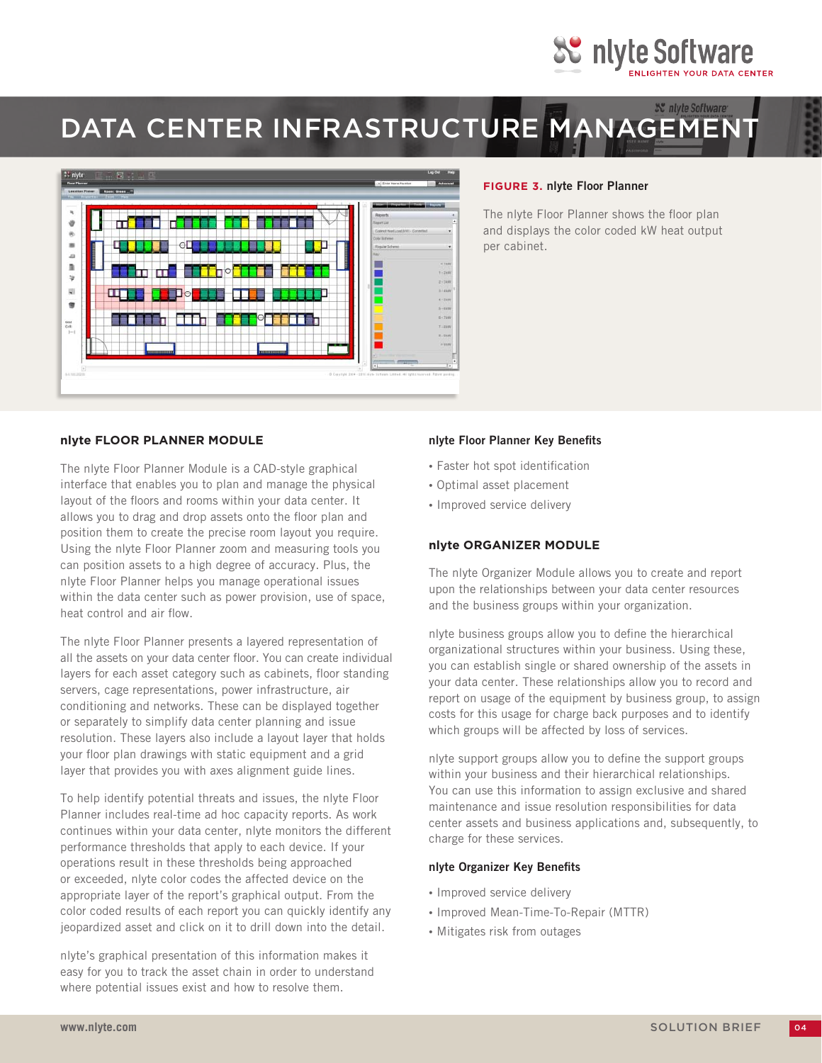



#### **FIGURE 3. nlyte Floor Planner**

The nlyte Floor Planner shows the floor plan and displays the color coded kW heat output per cabinet.

#### **nlyte FLOOR PLANNER MODULE**

The nlyte Floor Planner Module is a CAD-style graphical interface that enables you to plan and manage the physical layout of the floors and rooms within your data center. It allows you to drag and drop assets onto the floor plan and position them to create the precise room layout you require. Using the nlyte Floor Planner zoom and measuring tools you can position assets to a high degree of accuracy. Plus, the nlyte Floor Planner helps you manage operational issues within the data center such as power provision, use of space, heat control and air flow.

The nlyte Floor Planner presents a layered representation of all the assets on your data center floor. You can create individual layers for each asset category such as cabinets, floor standing servers, cage representations, power infrastructure, air conditioning and networks. These can be displayed together or separately to simplify data center planning and issue resolution. These layers also include a layout layer that holds your floor plan drawings with static equipment and a grid layer that provides you with axes alignment guide lines.

To help identify potential threats and issues, the nlyte Floor Planner includes real-time ad hoc capacity reports. As work continues within your data center, nlyte monitors the different performance thresholds that apply to each device. If your operations result in these thresholds being approached or exceeded, nlyte color codes the affected device on the appropriate layer of the report's graphical output. From the color coded results of each report you can quickly identify any jeopardized asset and click on it to drill down into the detail.

nlyte's graphical presentation of this information makes it easy for you to track the asset chain in order to understand where potential issues exist and how to resolve them.

#### **nlyte Floor Planner Key Benefits**

- • Faster hot spot identification
- • Optimal asset placement
- Improved service delivery

#### **nlyte ORGANIZER MODULE**

The nlyte Organizer Module allows you to create and report upon the relationships between your data center resources and the business groups within your organization.

nlyte business groups allow you to define the hierarchical organizational structures within your business. Using these, you can establish single or shared ownership of the assets in your data center. These relationships allow you to record and report on usage of the equipment by business group, to assign costs for this usage for charge back purposes and to identify which groups will be affected by loss of services.

nlyte support groups allow you to define the support groups within your business and their hierarchical relationships. You can use this information to assign exclusive and shared maintenance and issue resolution responsibilities for data center assets and business applications and, subsequently, to charge for these services.

#### **nlyte Organizer Key Benefits**

- Improved service delivery
- Improved Mean-Time-To-Repair (MTTR)
- • Mitigates risk from outages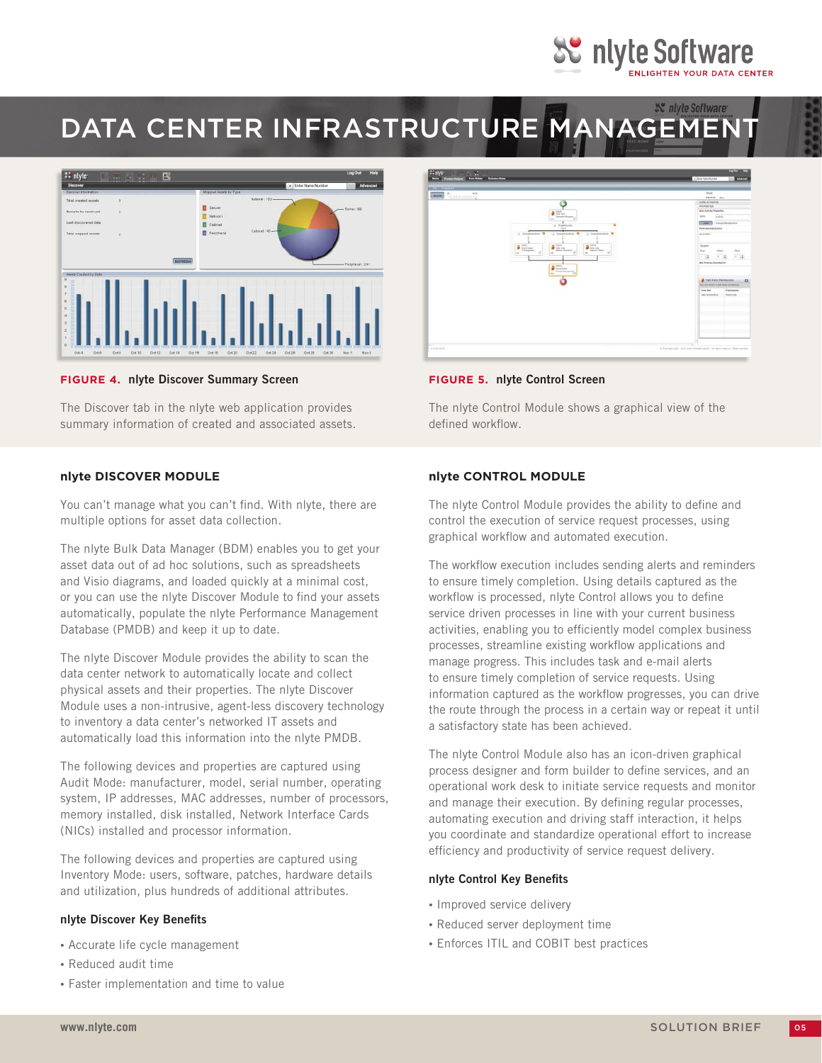



**FIGURE 4. nlyte Discover Summary Screen** 

The Discover tab in the nlyte web application provides summary information of created and associated assets.

### **nlyte DISCOVER MODULE**

You can't manage what you can't find. With nlyte, there are multiple options for asset data collection.

The nlyte Bulk Data Manager (BDM) enables you to get your asset data out of ad hoc solutions, such as spreadsheets and Visio diagrams, and loaded quickly at a minimal cost, or you can use the nlyte Discover Module to find your assets automatically, populate the nlyte Performance Management Database (PMDB) and keep it up to date.

The nlyte Discover Module provides the ability to scan the data center network to automatically locate and collect physical assets and their properties. The nlyte Discover Module uses a non-intrusive, agent-less discovery technology to inventory a data center's networked IT assets and automatically load this information into the nlyte PMDB.

The following devices and properties are captured using Audit Mode: manufacturer, model, serial number, operating system, IP addresses, MAC addresses, number of processors, memory installed, disk installed, Network Interface Cards (NICs) installed and processor information.

The following devices and properties are captured using Inventory Mode: users, software, patches, hardware details and utilization, plus hundreds of additional attributes.

#### **nlyte Discover Key Benefits**

- • Accurate life cycle management
- • Reduced audit time
- • Faster implementation and time to value



**FIGURE 5. nlyte Control Screen** 

The nlyte Control Module shows a graphical view of the defined workflow.

#### **nlyte CONTROL MODULE**

The nlyte Control Module provides the ability to define and control the execution of service request processes, using graphical workflow and automated execution.

The workflow execution includes sending alerts and reminders to ensure timely completion. Using details captured as the workflow is processed, nlyte Control allows you to define service driven processes in line with your current business activities, enabling you to efficiently model complex business processes, streamline existing workflow applications and manage progress. This includes task and e-mail alerts to ensure timely completion of service requests. Using information captured as the workflow progresses, you can drive the route through the process in a certain way or repeat it until a satisfactory state has been achieved.

The nlyte Control Module also has an icon-driven graphical process designer and form builder to define services, and an operational work desk to initiate service requests and monitor and manage their execution. By defining regular processes, automating execution and driving staff interaction, it helps you coordinate and standardize operational effort to increase efficiency and productivity of service request delivery.

#### **nlyte Control Key Benefits**

- Improved service delivery
- • Reduced server deployment time
- • Enforces ITIL and COBIT best practices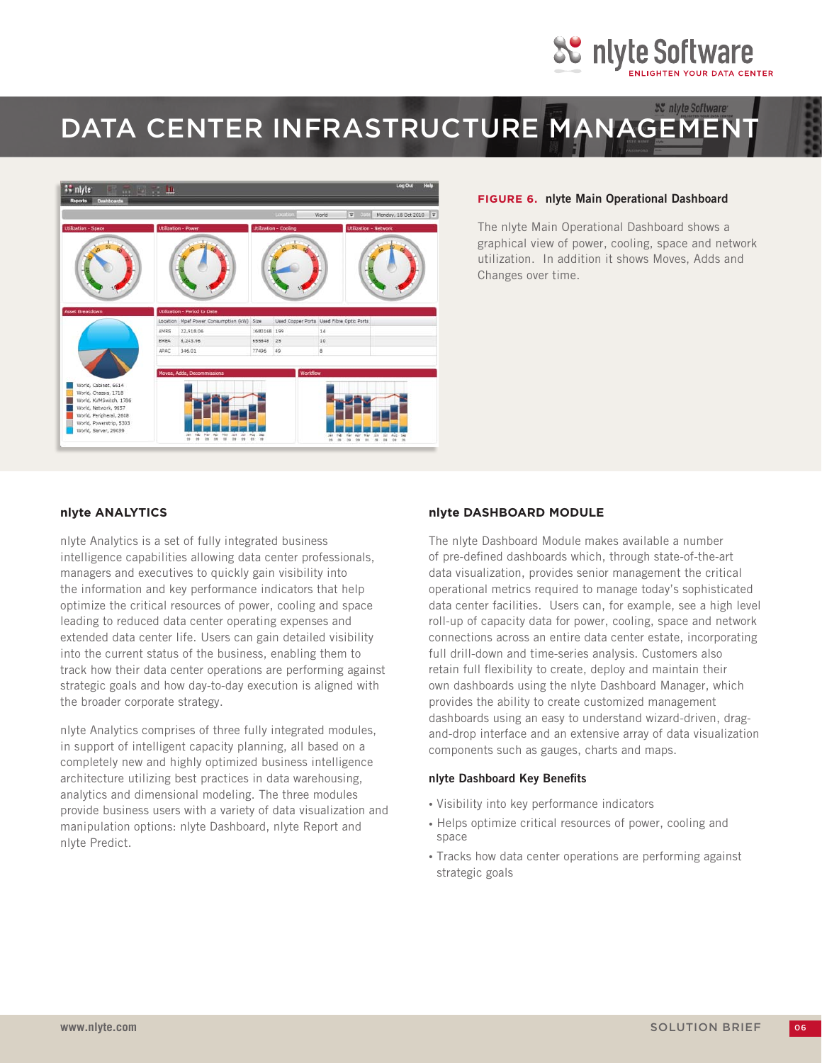



#### **FIGURE 6. nlyte Main Operational Dashboard**

The nlyte Main Operational Dashboard shows a graphical view of power, cooling, space and network utilization. In addition it shows Moves, Adds and Changes over time.

#### **nlyte ANALYTICS**

nlyte Analytics is a set of fully integrated business intelligence capabilities allowing data center professionals, managers and executives to quickly gain visibility into the information and key performance indicators that help optimize the critical resources of power, cooling and space leading to reduced data center operating expenses and extended data center life. Users can gain detailed visibility into the current status of the business, enabling them to track how their data center operations are performing against strategic goals and how day-to-day execution is aligned with the broader corporate strategy.

nlyte Analytics comprises of three fully integrated modules, in support of intelligent capacity planning, all based on a completely new and highly optimized business intelligence architecture utilizing best practices in data warehousing, analytics and dimensional modeling. The three modules provide business users with a variety of data visualization and manipulation options: nlyte Dashboard, nlyte Report and nlyte Predict.

#### **nlyte DASHBOARD MODULE**

The nlyte Dashboard Module makes available a number of pre-defined dashboards which, through state-of-the-art data visualization, provides senior management the critical operational metrics required to manage today's sophisticated data center facilities. Users can, for example, see a high level roll-up of capacity data for power, cooling, space and network connections across an entire data center estate, incorporating full drill-down and time-series analysis. Customers also retain full flexibility to create, deploy and maintain their own dashboards using the nlyte Dashboard Manager, which provides the ability to create customized management dashboards using an easy to understand wizard-driven, dragand-drop interface and an extensive array of data visualization components such as gauges, charts and maps.

#### **nlyte Dashboard Key Benefits**

- • Visibility into key performance indicators
- Helps optimize critical resources of power, cooling and space
- Tracks how data center operations are performing against strategic goals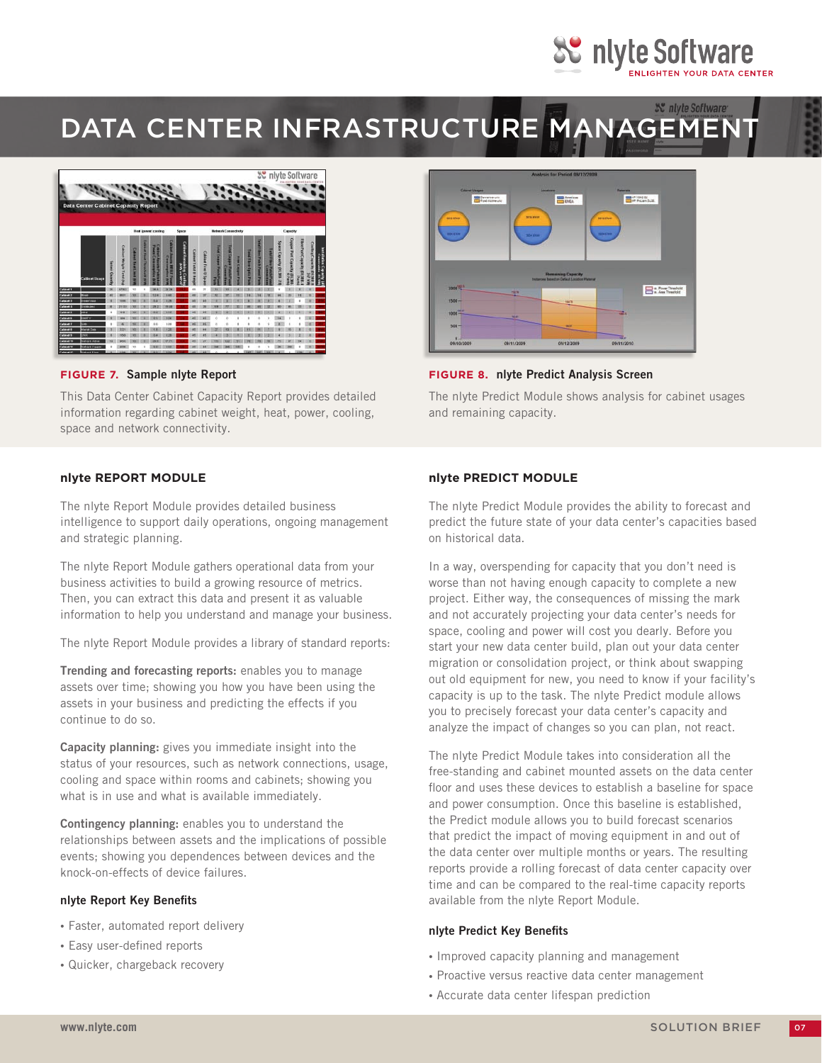



#### **FIGURE 7. Sample nlyte Report**

This Data Center Cabinet Capacity Report provides detailed information regarding cabinet weight, heat, power, cooling, space and network connectivity.



#### **FIGURE 8. nlyte Predict Analysis Screen**

The nlyte Predict Module shows analysis for cabinet usages and remaining capacity.

#### **nlyte REPORT MODULE**

The nlyte Report Module provides detailed business intelligence to support daily operations, ongoing management and strategic planning.

The nlyte Report Module gathers operational data from your business activities to build a growing resource of metrics. Then, you can extract this data and present it as valuable information to help you understand and manage your business.

The nlyte Report Module provides a library of standard reports:

**Trending and forecasting reports:** enables you to manage assets over time; showing you how you have been using the assets in your business and predicting the effects if you continue to do so.

**Capacity planning:** gives you immediate insight into the status of your resources, such as network connections, usage, cooling and space within rooms and cabinets; showing you what is in use and what is available immediately.

**Contingency planning:** enables you to understand the relationships between assets and the implications of possible events; showing you dependences between devices and the knock-on-effects of device failures.

#### **nlyte Report Key Benefits**

- • Faster, automated report delivery
- • Easy user-defined reports
- • Quicker, chargeback recovery

#### **nlyte PREDICT MODULE**

The nlyte Predict Module provides the ability to forecast and predict the future state of your data center's capacities based on historical data.

In a way, overspending for capacity that you don't need is worse than not having enough capacity to complete a new project. Either way, the consequences of missing the mark and not accurately projecting your data center's needs for space, cooling and power will cost you dearly. Before you start your new data center build, plan out your data center migration or consolidation project, or think about swapping out old equipment for new, you need to know if your facility's capacity is up to the task. The nlyte Predict module allows you to precisely forecast your data center's capacity and analyze the impact of changes so you can plan, not react.

The nlyte Predict Module takes into consideration all the free-standing and cabinet mounted assets on the data center floor and uses these devices to establish a baseline for space and power consumption. Once this baseline is established, the Predict module allows you to build forecast scenarios that predict the impact of moving equipment in and out of the data center over multiple months or years. The resulting reports provide a rolling forecast of data center capacity over time and can be compared to the real-time capacity reports available from the nlyte Report Module.

#### **nlyte Predict Key Benefits**

- Improved capacity planning and management
- Proactive versus reactive data center management
- • Accurate data center lifespan prediction